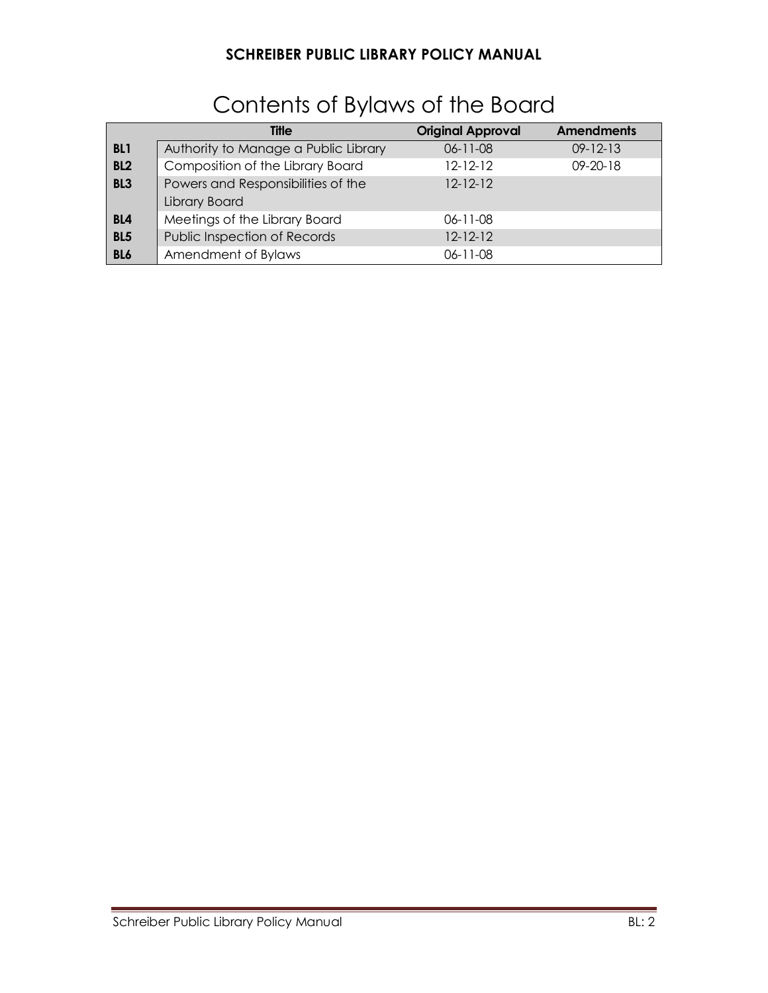|                 | <b>Title</b>                         | <b>Original Approval</b> | <b>Amendments</b> |
|-----------------|--------------------------------------|--------------------------|-------------------|
| BL <sub>1</sub> | Authority to Manage a Public Library | $06 - 11 - 08$           | $09 - 12 - 13$    |
| BL <sub>2</sub> | Composition of the Library Board     | $12 - 12 - 12$           | $09 - 20 - 18$    |
| BL <sub>3</sub> | Powers and Responsibilities of the   | $12 - 12 - 12$           |                   |
|                 | Library Board                        |                          |                   |
| BL <sub>4</sub> | Meetings of the Library Board        | $06 - 11 - 08$           |                   |
| <b>BL5</b>      | Public Inspection of Records         | $12 - 12 - 12$           |                   |
| BL6             | Amendment of Bylaws                  | $06 - 11 - 08$           |                   |

# Contents of Bylaws of the Board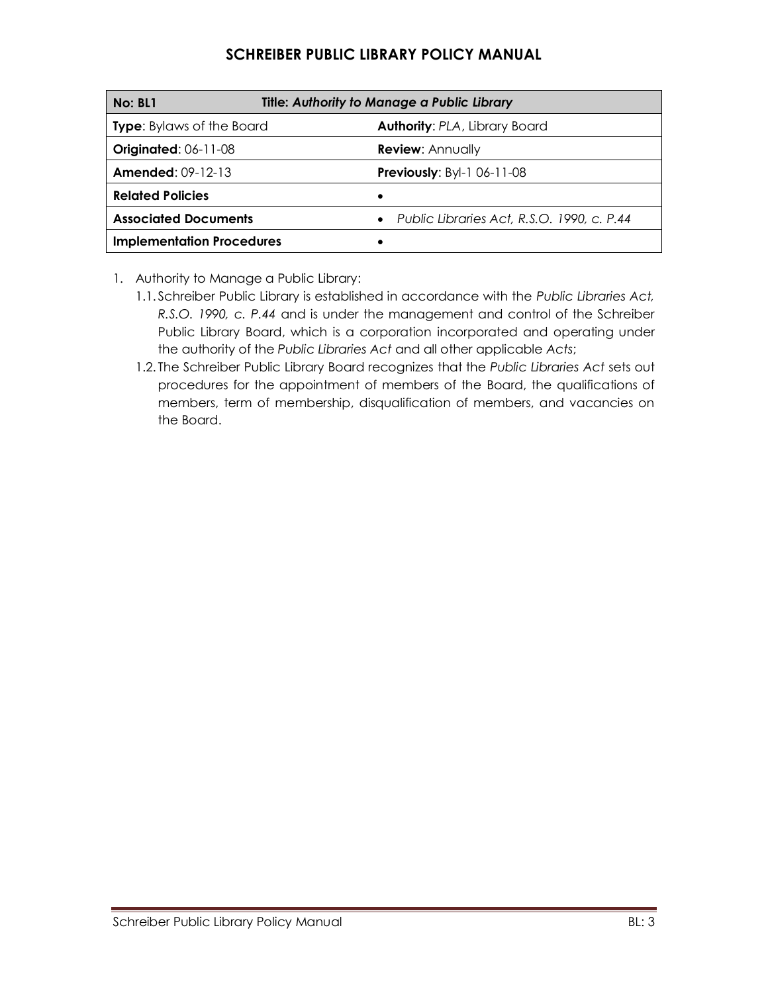| Title: Authority to Manage a Public Library<br>No: BL1 |                                              |  |
|--------------------------------------------------------|----------------------------------------------|--|
| <b>Type:</b> Bylaws of the Board                       | <b>Authority: PLA, Library Board</b>         |  |
| <b>Originated: 06-11-08</b>                            | <b>Review: Annually</b>                      |  |
| <b>Amended: 09-12-13</b>                               | <b>Previously: Byl-1 06-11-08</b>            |  |
| <b>Related Policies</b>                                | ٠                                            |  |
| <b>Associated Documents</b>                            | • Public Libraries Act, R.S.O. 1990, c. P.44 |  |
| <b>Implementation Procedures</b>                       |                                              |  |

- 1. Authority to Manage a Public Library:
	- 1.1. Schreiber Public Library is established in accordance with the *Public Libraries Act, R.S.O. 1990, c. P.44* and is under the management and control of the Schreiber Public Library Board, which is a corporation incorporated and operating under the authority of the *Public Libraries Act* and all other applicable *Acts*;
	- 1.2. The Schreiber Public Library Board recognizes that the *Public Libraries Act* sets out procedures for the appointment of members of the Board, the qualifications of members, term of membership, disqualification of members, and vacancies on the Board.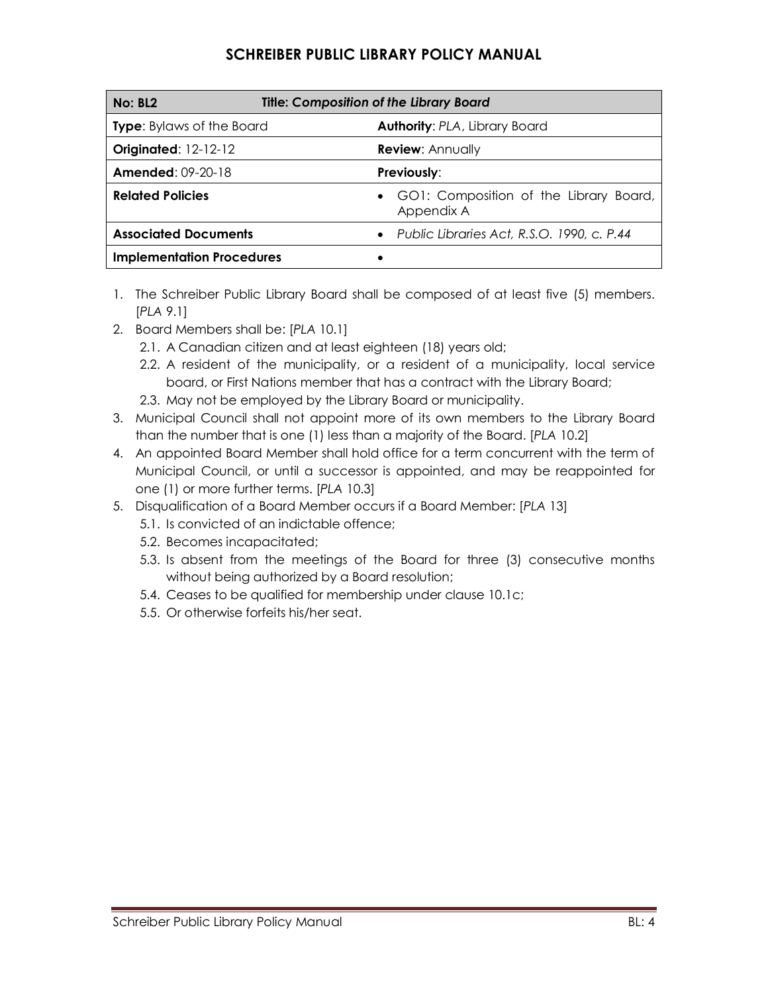| <b>Title: Composition of the Library Board</b><br><b>No: BL2</b> |                                                      |  |
|------------------------------------------------------------------|------------------------------------------------------|--|
| <b>Type:</b> Bylaws of the Board                                 | <b>Authority: PLA, Library Board</b>                 |  |
| <b>Originated: 12-12-12</b>                                      | <b>Review: Annually</b>                              |  |
| <b>Amended: 09-20-18</b>                                         | <b>Previously:</b>                                   |  |
| <b>Related Policies</b>                                          | GO1: Composition of the Library Board,<br>Appendix A |  |
| <b>Associated Documents</b>                                      | • Public Libraries Act, R.S.O. 1990, c. P.44         |  |
| <b>Implementation Procedures</b>                                 |                                                      |  |

- 1. The Schreiber Public Library Board shall be composed of at least five (5) members. [*PLA* 9.1]
- 2. Board Members shall be: [*PLA* 10.1]
	- 2.1. A Canadian citizen and at least eighteen (18) years old;
	- 2.2. A resident of the municipality, or a resident of a municipality, local service board, or First Nations member that has a contract with the Library Board;
	- 2.3. May not be employed by the Library Board or municipality.
- 3. Municipal Council shall not appoint more of its own members to the Library Board than the number that is one (1) less than a majority of the Board. [*PLA* 10.2]
- 4. An appointed Board Member shall hold office for a term concurrent with the term of Municipal Council, or until a successor is appointed, and may be reappointed for one (1) or more further terms. [*PLA* 10.3]
- 5. Disqualification of a Board Member occurs if a Board Member: [*PLA* 13]
	- 5.1. Is convicted of an indictable offence;
	- 5.2. Becomes incapacitated;
	- 5.3. Is absent from the meetings of the Board for three (3) consecutive months without being authorized by a Board resolution;
	- 5.4. Ceases to be qualified for membership under clause 10.1c;
	- 5.5. Or otherwise forfeits his/her seat.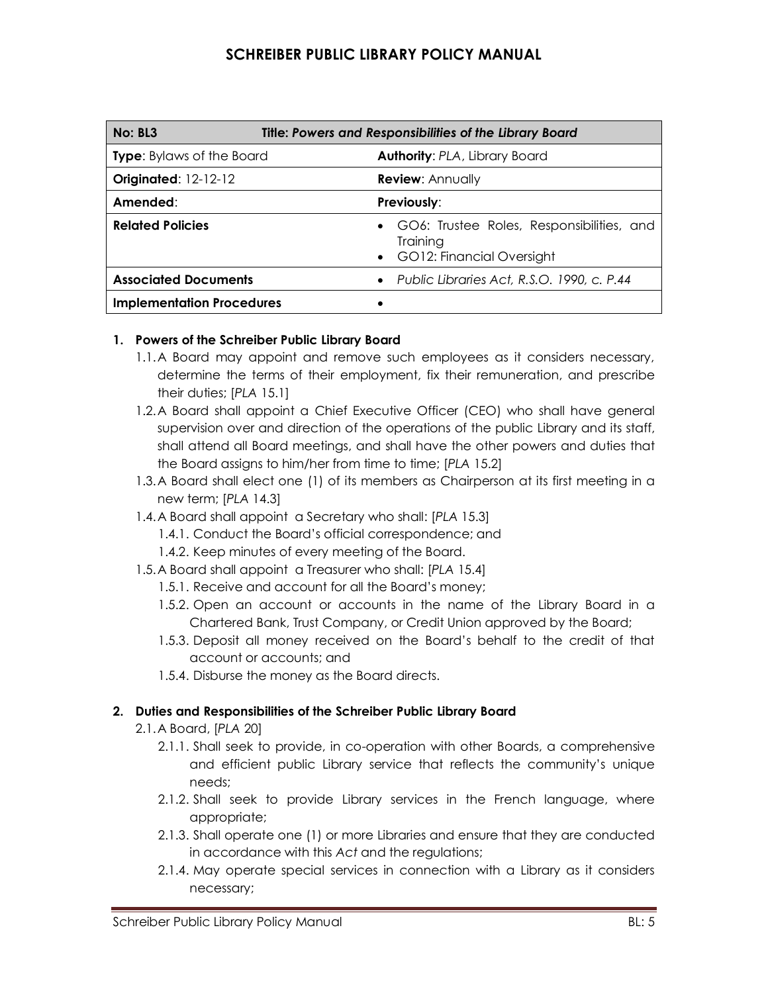| <b>Title: Powers and Responsibilities of the Library Board</b><br>No: BL3 |                                                                                      |
|---------------------------------------------------------------------------|--------------------------------------------------------------------------------------|
| <b>Type:</b> Bylaws of the Board                                          | <b>Authority: PLA, Library Board</b>                                                 |
| <b>Originated: 12-12-12</b>                                               | <b>Review: Annually</b>                                                              |
| Amended:                                                                  | <b>Previously:</b>                                                                   |
| <b>Related Policies</b>                                                   | • GO6: Trustee Roles, Responsibilities, and<br>Training<br>GO12: Financial Oversight |
| <b>Associated Documents</b>                                               | • Public Libraries Act, R.S.O. 1990, c. P.44                                         |
| <b>Implementation Procedures</b>                                          |                                                                                      |

#### **1. Powers of the Schreiber Public Library Board**

- 1.1.A Board may appoint and remove such employees as it considers necessary, determine the terms of their employment, fix their remuneration, and prescribe their duties; [*PLA* 15.1]
- 1.2.A Board shall appoint a Chief Executive Officer (CEO) who shall have general supervision over and direction of the operations of the public Library and its staff, shall attend all Board meetings, and shall have the other powers and duties that the Board assigns to him/her from time to time; [*PLA* 15.2]
- 1.3.A Board shall elect one (1) of its members as Chairperson at its first meeting in a new term; [*PLA* 14.3]
- 1.4.A Board shall appoint a Secretary who shall: [*PLA* 15.3]
	- 1.4.1. Conduct the Board's official correspondence; and
	- 1.4.2. Keep minutes of every meeting of the Board.
- 1.5.A Board shall appoint a Treasurer who shall: [*PLA* 15.4]
	- 1.5.1. Receive and account for all the Board's money;
	- 1.5.2. Open an account or accounts in the name of the Library Board in a Chartered Bank, Trust Company, or Credit Union approved by the Board;
	- 1.5.3. Deposit all money received on the Board's behalf to the credit of that account or accounts; and
	- 1.5.4. Disburse the money as the Board directs.

#### **2. Duties and Responsibilities of the Schreiber Public Library Board**

- 2.1.A Board, [*PLA* 20]
	- 2.1.1. Shall seek to provide, in co-operation with other Boards, a comprehensive and efficient public Library service that reflects the community's unique needs;
	- 2.1.2. Shall seek to provide Library services in the French language, where appropriate;
	- 2.1.3. Shall operate one (1) or more Libraries and ensure that they are conducted in accordance with this *Act* and the regulations;
	- 2.1.4. May operate special services in connection with a Library as it considers necessary;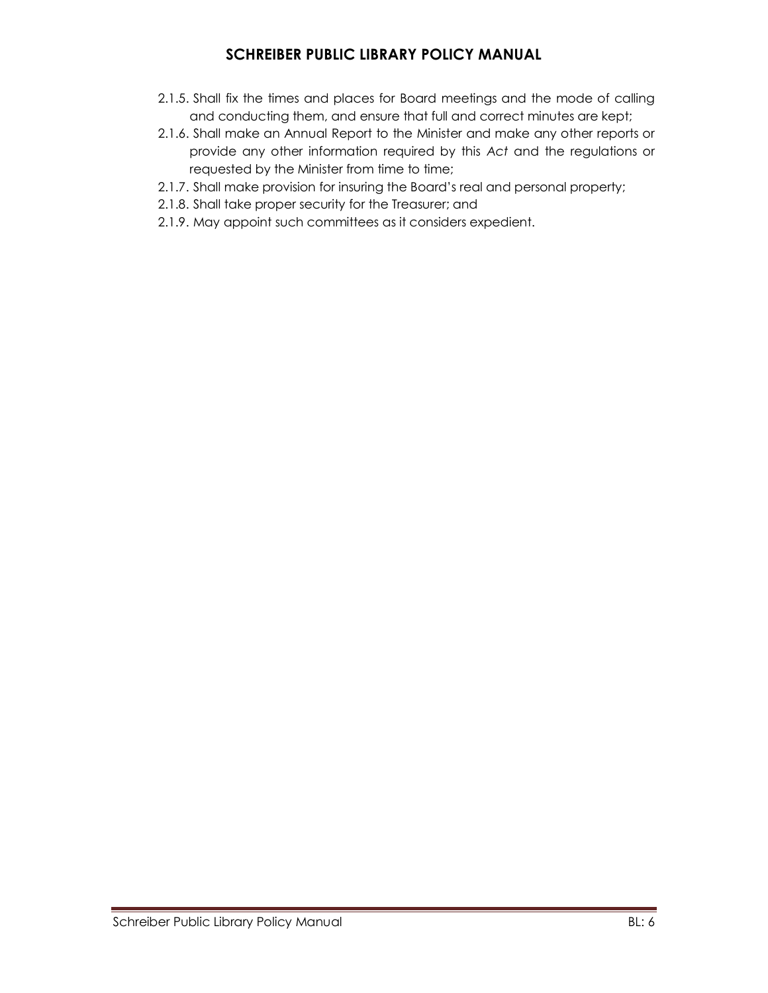- 2.1.5. Shall fix the times and places for Board meetings and the mode of calling and conducting them, and ensure that full and correct minutes are kept;
- 2.1.6. Shall make an Annual Report to the Minister and make any other reports or provide any other information required by this *Act* and the regulations or requested by the Minister from time to time;
- 2.1.7. Shall make provision for insuring the Board's real and personal property;
- 2.1.8. Shall take proper security for the Treasurer; and
- 2.1.9. May appoint such committees as it considers expedient.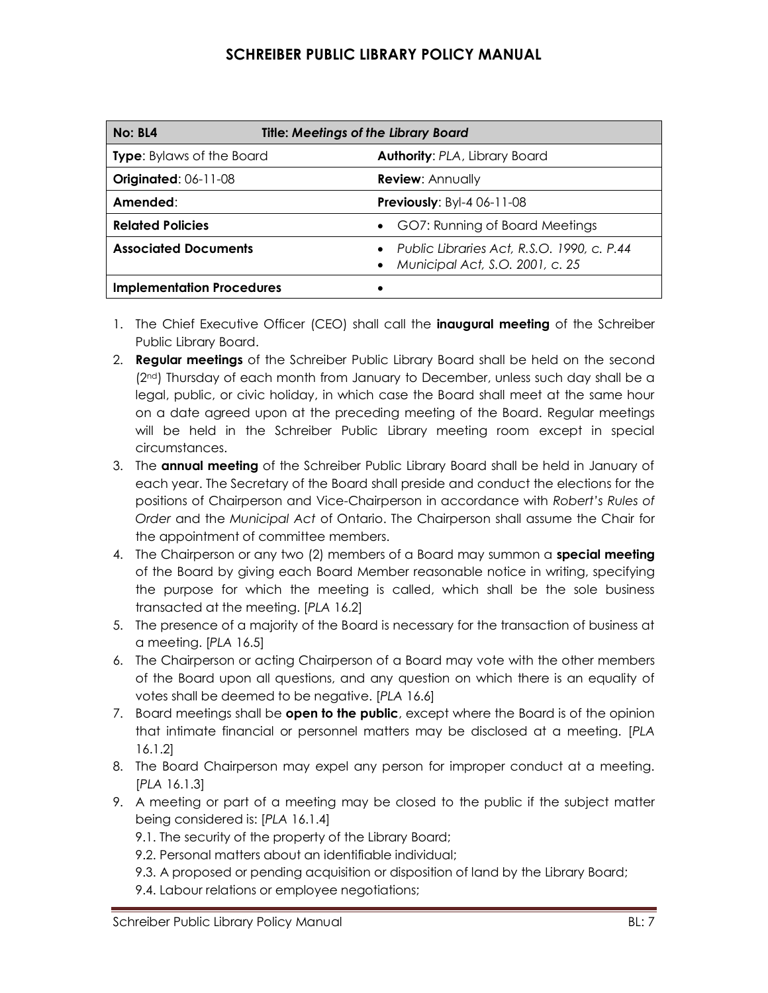| <b>Title: Meetings of the Library Board</b><br>No: BL4 |                                                                               |
|--------------------------------------------------------|-------------------------------------------------------------------------------|
| <b>Type:</b> Bylaws of the Board                       | <b>Authority: PLA, Library Board</b>                                          |
| <b>Originated: 06-11-08</b>                            | <b>Review: Annually</b>                                                       |
| Amended:                                               | <b>Previously: Byl-4 06-11-08</b>                                             |
| <b>Related Policies</b>                                | GO7: Running of Board Meetings                                                |
| <b>Associated Documents</b>                            | Public Libraries Act, R.S.O. 1990, c. P.44<br>Municipal Act, S.O. 2001, c. 25 |
| <b>Implementation Procedures</b>                       |                                                                               |

- 1. The Chief Executive Officer (CEO) shall call the **inaugural meeting** of the Schreiber Public Library Board.
- 2. **Regular meetings** of the Schreiber Public Library Board shall be held on the second (2nd) Thursday of each month from January to December, unless such day shall be a legal, public, or civic holiday, in which case the Board shall meet at the same hour on a date agreed upon at the preceding meeting of the Board. Regular meetings will be held in the Schreiber Public Library meeting room except in special circumstances.
- 3. The **annual meeting** of the Schreiber Public Library Board shall be held in January of each year. The Secretary of the Board shall preside and conduct the elections for the positions of Chairperson and Vice-Chairperson in accordance with *Robert's Rules of Order* and the *Municipal Act* of Ontario. The Chairperson shall assume the Chair for the appointment of committee members.
- 4. The Chairperson or any two (2) members of a Board may summon a **special meeting** of the Board by giving each Board Member reasonable notice in writing, specifying the purpose for which the meeting is called, which shall be the sole business transacted at the meeting. [*PLA* 16.2]
- 5. The presence of a majority of the Board is necessary for the transaction of business at a meeting. [*PLA* 16.5]
- 6. The Chairperson or acting Chairperson of a Board may vote with the other members of the Board upon all questions, and any question on which there is an equality of votes shall be deemed to be negative. [*PLA* 16.6]
- 7. Board meetings shall be **open to the public**, except where the Board is of the opinion that intimate financial or personnel matters may be disclosed at a meeting. [*PLA* 16.1.2]
- 8. The Board Chairperson may expel any person for improper conduct at a meeting. [*PLA* 16.1.3]
- 9. A meeting or part of a meeting may be closed to the public if the subject matter being considered is: [*PLA* 16.1.4]
	- 9.1. The security of the property of the Library Board;
	- 9.2. Personal matters about an identifiable individual;
	- 9.3. A proposed or pending acquisition or disposition of land by the Library Board;
	- 9.4. Labour relations or employee negotiations;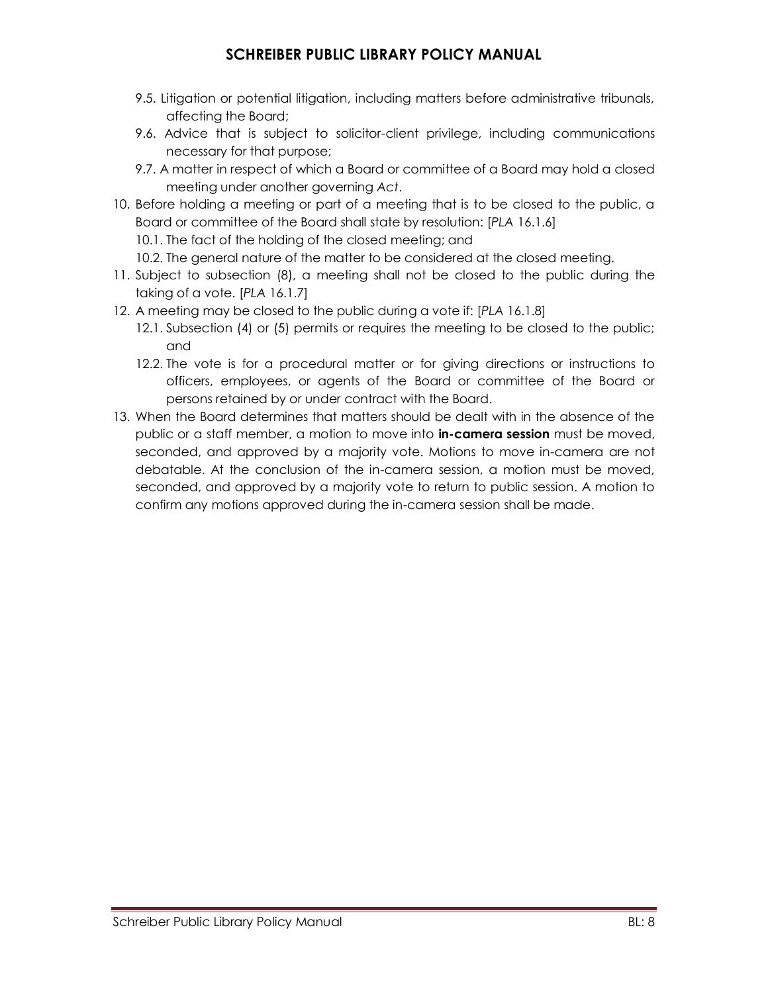- 9.5. Litigation or potential litigation, including matters before administrative tribunals, affecting the Board;
- 9.6. Advice that is subject to solicitor-client privilege, including communications necessary for that purpose;
- 9.7. A matter in respect of which a Board or committee of a Board may hold a closed meeting under another governing *Act*.
- 10. Before holding a meeting or part of a meeting that is to be closed to the public, a Board or committee of the Board shall state by resolution: [*PLA* 16.1.6] 10.1. The fact of the holding of the closed meeting; and

10.2. The general nature of the matter to be considered at the closed meeting.

- 11. Subject to subsection (8), a meeting shall not be closed to the public during the taking of a vote. [*PLA* 16.1.7]
- 12. A meeting may be closed to the public during a vote if: [*PLA* 16.1.8]
	- 12.1. Subsection (4) or (5) permits or requires the meeting to be closed to the public; and
	- 12.2. The vote is for a procedural matter or for giving directions or instructions to officers, employees, or agents of the Board or committee of the Board or persons retained by or under contract with the Board.
- 13. When the Board determines that matters should be dealt with in the absence of the public or a staff member, a motion to move into **in-camera session** must be moved, seconded, and approved by a majority vote. Motions to move in-camera are not debatable. At the conclusion of the in-camera session, a motion must be moved, seconded, and approved by a majority vote to return to public session. A motion to confirm any motions approved during the in-camera session shall be made.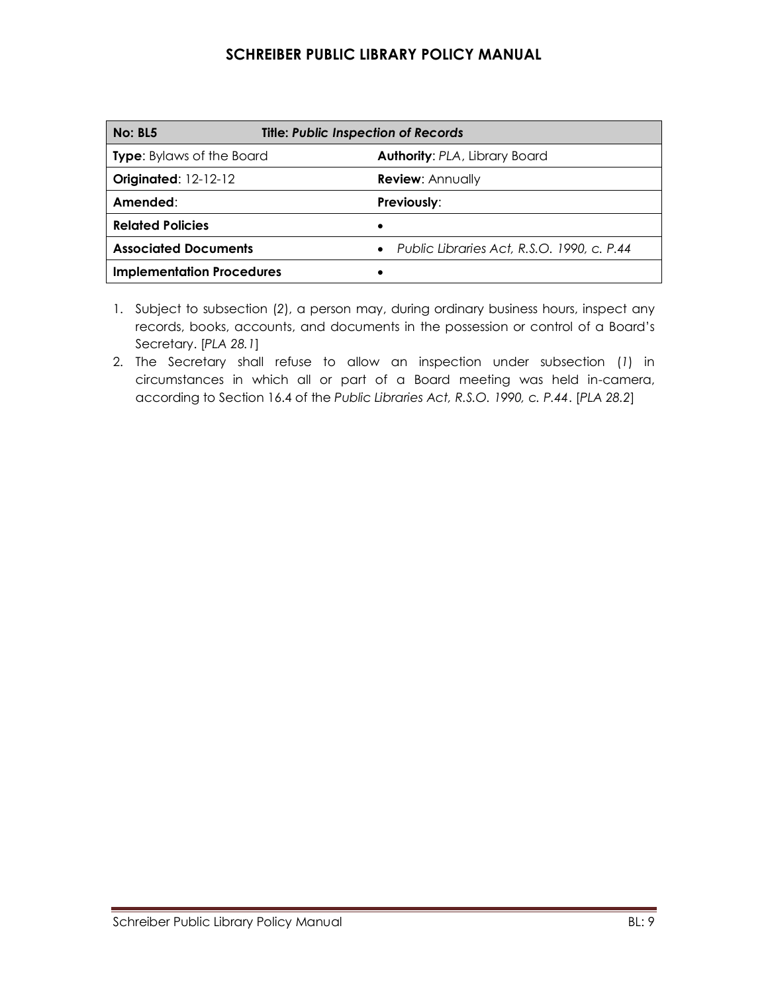| <b>No: BL5</b>                   | <b>Title: Public Inspection of Records</b>   |  |
|----------------------------------|----------------------------------------------|--|
| <b>Type:</b> Bylaws of the Board | <b>Authority: PLA, Library Board</b>         |  |
| <b>Originated: 12-12-12</b>      | <b>Review: Annually</b>                      |  |
| Amended:                         | Previously:                                  |  |
| <b>Related Policies</b>          |                                              |  |
| <b>Associated Documents</b>      | • Public Libraries Act, R.S.O. 1990, c. P.44 |  |
| <b>Implementation Procedures</b> |                                              |  |

- 1. Subject to subsection (*2*), a person may, during ordinary business hours, inspect any records, books, accounts, and documents in the possession or control of a Board's Secretary. [*PLA 28.1*]
- 2. The Secretary shall refuse to allow an inspection under subsection (*1*) in circumstances in which all or part of a Board meeting was held in-camera, according to Section 16.4 of the *Public Libraries Act, R.S.O. 1990, c. P.44*. [*PLA 28.2*]